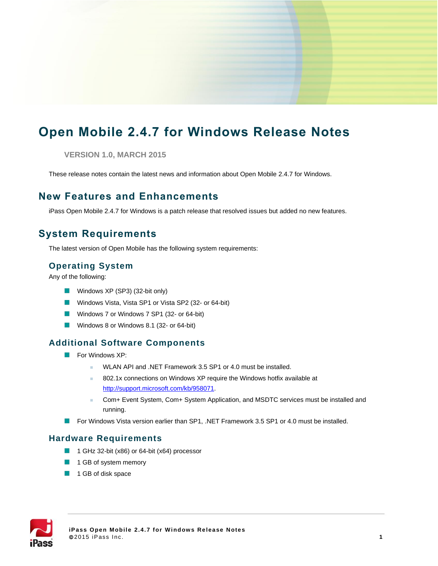# **Open Mobile 2.4.7 for Windows Release Notes**

**VERSION 1.0, MARCH 2015**

These release notes contain the latest news and information about Open Mobile 2.4.7 for Windows.

### **New Features and Enhancements**

iPass Open Mobile 2.4.7 for Windows is a patch release that resolved issues but added no new features.

# **System Requirements**

The latest version of Open Mobile has the following system requirements:

#### **Operating System**

Any of the following:

- Windows XP (SP3) (32-bit only)
- Windows Vista, Vista SP1 or Vista SP2 (32- or 64-bit)
- Windows 7 or Windows 7 SP1 (32- or 64-bit)
- Windows 8 or Windows 8.1 (32- or 64-bit)

#### **Additional Software Components**

- **For Windows XP:** 
	- WLAN API and .NET Framework 3.5 SP1 or 4.0 must be installed.
	- 802.1x connections on Windows XP require the Windows hotfix available at [http://support.microsoft.com/kb/958071.](http://support.microsoft.com/kb/958071)
	- Com+ Event System, Com+ System Application, and MSDTC services must be installed and running.
- **For Windows Vista version earlier than SP1, .NET Framework 3.5 SP1 or 4.0 must be installed.**

#### **Hardware Requirements**

- $\mathcal{L}_{\mathcal{A}}$ 1 GHz 32-bit (x86) or 64-bit (x64) processor
- **1** 1 GB of system memory
- **1** GB of disk space

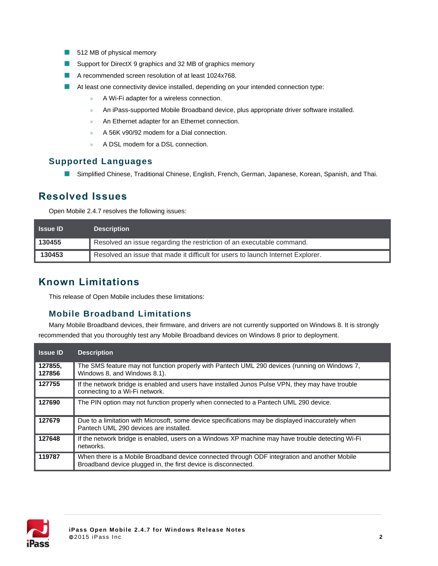- 512 MB of physical memory
- Support for DirectX 9 graphics and 32 MB of graphics memory
- A recommended screen resolution of at least 1024x768.
- At least one connectivity device installed, depending on your intended connection type:
	- **A Wi-Fi adapter for a wireless connection.**
	- **An iPass-supported Mobile Broadband device, plus appropriate driver software installed.**
	- **An Ethernet adapter for an Ethernet connection.**
	- A 56K v90/92 modem for a Dial connection.
	- A DSL modem for a DSL connection.

#### **Supported Languages**

Simplified Chinese, Traditional Chinese, English, French, German, Japanese, Korean, Spanish, and Thai.

### **Resolved Issues**

Open Mobile 2.4.7 resolves the following issues:

| <b>Issue ID</b> | <b>Description</b>                                                              |
|-----------------|---------------------------------------------------------------------------------|
| 130455          | Resolved an issue regarding the restriction of an executable command.           |
| 130453          | Resolved an issue that made it difficult for users to launch Internet Explorer. |

# **Known Limitations**

This release of Open Mobile includes these limitations:

#### **Mobile Broadband Limitations**

Many Mobile Broadband devices, their firmware, and drivers are not currently supported on Windows 8. It is strongly recommended that you thoroughly test any Mobile Broadband devices on Windows 8 prior to deployment.

| <b>Issue ID</b>   | <b>Description</b>                                                                                                                                             |
|-------------------|----------------------------------------------------------------------------------------------------------------------------------------------------------------|
| 127855.<br>127856 | The SMS feature may not function properly with Pantech UML 290 devices (running on Windows 7,<br>Windows 8, and Windows 8.1).                                  |
| 127755            | If the network bridge is enabled and users have installed Junos Pulse VPN, they may have trouble<br>connecting to a Wi-Fi network.                             |
| 127690            | The PIN option may not function properly when connected to a Pantech UML 290 device.                                                                           |
| 127679            | Due to a limitation with Microsoft, some device specifications may be displayed inaccurately when<br>Pantech UML 290 devices are installed.                    |
| 127648            | If the network bridge is enabled, users on a Windows XP machine may have trouble detecting Wi-Fi<br>networks.                                                  |
| 119787            | When there is a Mobile Broadband device connected through ODF integration and another Mobile<br>Broadband device plugged in, the first device is disconnected. |

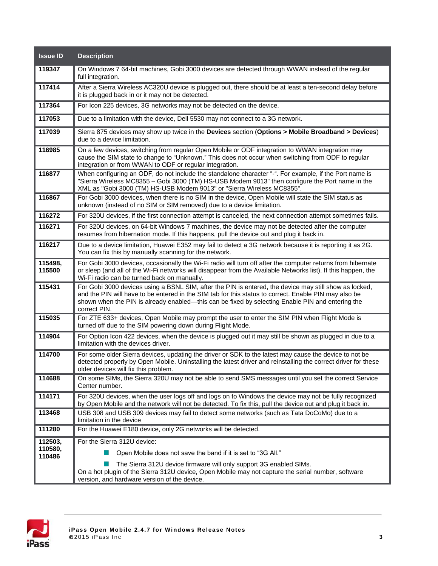| <b>Issue ID</b>              | <b>Description</b>                                                                                                                                                                                                                                                                                                                  |
|------------------------------|-------------------------------------------------------------------------------------------------------------------------------------------------------------------------------------------------------------------------------------------------------------------------------------------------------------------------------------|
| 119347                       | On Windows 7 64-bit machines, Gobi 3000 devices are detected through WWAN instead of the regular<br>full integration.                                                                                                                                                                                                               |
| 117414                       | After a Sierra Wireless AC320U device is plugged out, there should be at least a ten-second delay before<br>it is plugged back in or it may not be detected.                                                                                                                                                                        |
| 117364                       | For Icon 225 devices, 3G networks may not be detected on the device.                                                                                                                                                                                                                                                                |
| 117053                       | Due to a limitation with the device, Dell 5530 may not connect to a 3G network.                                                                                                                                                                                                                                                     |
| 117039                       | Sierra 875 devices may show up twice in the Devices section (Options > Mobile Broadband > Devices)<br>due to a device limitation.                                                                                                                                                                                                   |
| 116985                       | On a few devices, switching from regular Open Mobile or ODF integration to WWAN integration may<br>cause the SIM state to change to "Unknown." This does not occur when switching from ODF to regular<br>integration or from WWAN to ODF or regular integration.                                                                    |
| 116877                       | When configuring an ODF, do not include the standalone character "-". For example, if the Port name is<br>"Sierra Wireless MC8355 - Gobi 3000 (TM) HS-USB Modem 9013" then configure the Port name in the<br>XML as "Gobi 3000 (TM) HS-USB Modem 9013" or "Sierra Wireless MC8355".                                                 |
| 116867                       | For Gobi 3000 devices, when there is no SIM in the device, Open Mobile will state the SIM status as<br>unknown (instead of no SIM or SIM removed) due to a device limitation.                                                                                                                                                       |
| 116272                       | For 320U devices, if the first connection attempt is canceled, the next connection attempt sometimes fails.                                                                                                                                                                                                                         |
| 116271                       | For 320U devices, on 64-bit Windows 7 machines, the device may not be detected after the computer<br>resumes from hibernation mode. If this happens, pull the device out and plug it back in.                                                                                                                                       |
| 116217                       | Due to a device limitation, Huawei E352 may fail to detect a 3G network because it is reporting it as 2G.<br>You can fix this by manually scanning for the network.                                                                                                                                                                 |
| 115498,<br>115500            | For Gobi 3000 devices, occasionally the Wi-Fi radio will turn off after the computer returns from hibernate<br>or sleep (and all of the Wi-Fi networks will disappear from the Available Networks list). If this happen, the<br>Wi-Fi radio can be turned back on manually.                                                         |
| 115431                       | For Gobi 3000 devices using a BSNL SIM, after the PIN is entered, the device may still show as locked,<br>and the PIN will have to be entered in the SIM tab for this status to correct. Enable PIN may also be<br>shown when the PIN is already enabled—this can be fixed by selecting Enable PIN and entering the<br>correct PIN. |
| 115035                       | For ZTE 633+ devices, Open Mobile may prompt the user to enter the SIM PIN when Flight Mode is<br>turned off due to the SIM powering down during Flight Mode.                                                                                                                                                                       |
| 114904                       | For Option Icon 422 devices, when the device is plugged out it may still be shown as plugged in due to a<br>limitation with the devices driver.                                                                                                                                                                                     |
| 114700                       | For some older Sierra devices, updating the driver or SDK to the latest may cause the device to not be<br>detected properly by Open Mobile. Uninstalling the latest driver and reinstalling the correct driver for these<br>older devices will fix this problem.                                                                    |
| 114688                       | On some SIMs, the Sierra 320U may not be able to send SMS messages until you set the correct Service<br>Center number.                                                                                                                                                                                                              |
| 114171                       | For 320U devices, when the user logs off and logs on to Windows the device may not be fully recognized<br>by Open Mobile and the network will not be detected. To fix this, pull the device out and plug it back in.                                                                                                                |
| 113468                       | USB 308 and USB 309 devices may fail to detect some networks (such as Tata DoCoMo) due to a<br>limitation in the device                                                                                                                                                                                                             |
| 111280                       | For the Huawei E180 device, only 2G networks will be detected.                                                                                                                                                                                                                                                                      |
| 112503,<br>110580,<br>110486 | For the Sierra 312U device:<br>Open Mobile does not save the band if it is set to "3G All."<br>The Sierra 312U device firmware will only support 3G enabled SIMs.<br>On a hot plugin of the Sierra 312U device, Open Mobile may not capture the serial number, software                                                             |
|                              | version, and hardware version of the device.                                                                                                                                                                                                                                                                                        |

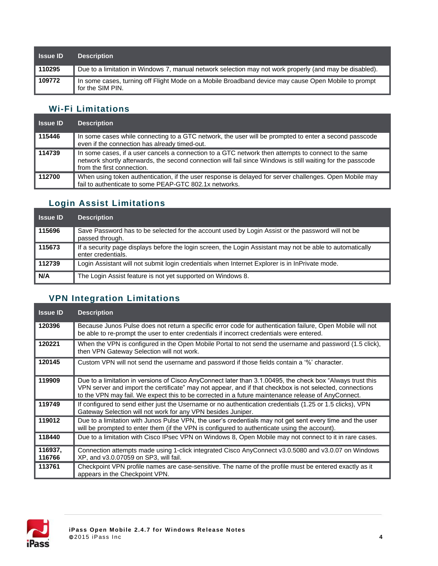| <b>Issue ID</b> | <b>Description</b>                                                                                                      |
|-----------------|-------------------------------------------------------------------------------------------------------------------------|
| 110295          | Due to a limitation in Windows 7, manual network selection may not work properly (and may be disabled).                 |
| 109772          | In some cases, turning off Flight Mode on a Mobile Broadband device may cause Open Mobile to prompt<br>for the SIM PIN. |

### **Wi-Fi Limitations**

| <b>Issue ID</b> | <b>Description</b>                                                                                                                                                                                                                               |
|-----------------|--------------------------------------------------------------------------------------------------------------------------------------------------------------------------------------------------------------------------------------------------|
| 115446          | In some cases while connecting to a GTC network, the user will be prompted to enter a second passcode<br>even if the connection has already timed-out.                                                                                           |
| 114739          | In some cases, if a user cancels a connection to a GTC network then attempts to connect to the same<br>network shortly afterwards, the second connection will fail since Windows is still waiting for the passcode<br>from the first connection. |
| 112700          | When using token authentication, if the user response is delayed for server challenges. Open Mobile may<br>fail to authenticate to some PEAP-GTC 802.1x networks.                                                                                |

# **Login Assist Limitations**

| <b>Issue ID</b> | <b>Description</b>                                                                                                              |
|-----------------|---------------------------------------------------------------------------------------------------------------------------------|
| 115696          | Save Password has to be selected for the account used by Login Assist or the password will not be<br>passed through.            |
| 115673          | If a security page displays before the login screen, the Login Assistant may not be able to automatically<br>enter credentials. |
| 112739          | Login Assistant will not submit login credentials when Internet Explorer is in InPrivate mode.                                  |
| N/A             | The Login Assist feature is not yet supported on Windows 8.                                                                     |

# **VPN Integration Limitations**

| <b>Issue ID</b>   | <b>Description</b>                                                                                                                                                                                                                                                                                                           |
|-------------------|------------------------------------------------------------------------------------------------------------------------------------------------------------------------------------------------------------------------------------------------------------------------------------------------------------------------------|
| 120396            | Because Junos Pulse does not return a specific error code for authentication failure, Open Mobile will not<br>be able to re-prompt the user to enter credentials if incorrect credentials were entered.                                                                                                                      |
| 120221            | When the VPN is configured in the Open Mobile Portal to not send the username and password (1.5 click),<br>then VPN Gateway Selection will not work.                                                                                                                                                                         |
| 120145            | Custom VPN will not send the username and password if those fields contain a '%' character.                                                                                                                                                                                                                                  |
| 119909            | Due to a limitation in versions of Cisco AnyConnect later than 3.1.00495, the check box "Always trust this<br>VPN server and import the certificate" may not appear, and if that checkbox is not selected, connections<br>to the VPN may fail. We expect this to be corrected in a future maintenance release of AnyConnect. |
| 119749            | If configured to send either just the Username or no authentication credentials (1.25 or 1.5 clicks), VPN<br>Gateway Selection will not work for any VPN besides Juniper.                                                                                                                                                    |
| 119012            | Due to a limitation with Junos Pulse VPN, the user's credentials may not get sent every time and the user<br>will be prompted to enter them (if the VPN is configured to authenticate using the account).                                                                                                                    |
| 118440            | Due to a limitation with Cisco IPsec VPN on Windows 8, Open Mobile may not connect to it in rare cases.                                                                                                                                                                                                                      |
| 116937.<br>116766 | Connection attempts made using 1-click integrated Cisco AnyConnect v3.0.5080 and v3.0.07 on Windows<br>XP, and v3.0.07059 on SP3, will fail.                                                                                                                                                                                 |
| 113761            | Checkpoint VPN profile names are case-sensitive. The name of the profile must be entered exactly as it<br>appears in the Checkpoint VPN.                                                                                                                                                                                     |

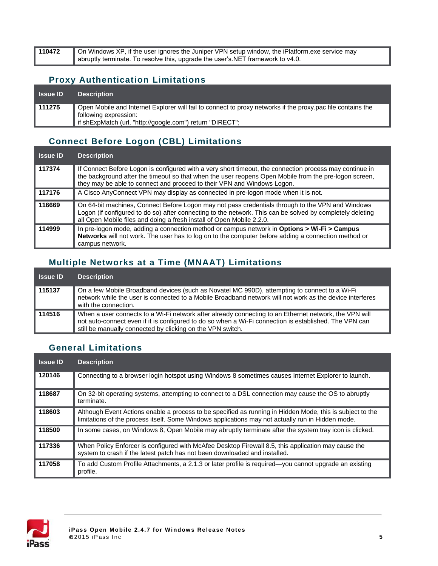| 110472 | On Windows XP, if the user ignores the Juniper VPN setup window, the iPlatform exe service may |
|--------|------------------------------------------------------------------------------------------------|
|        | abruptly terminate. To resolve this, upgrade the user's. NET framework to v4.0.                |

#### **Proxy Authentication Limitations**

| <b>Issue ID</b> | <b>Description</b>                                                                                                                   |
|-----------------|--------------------------------------------------------------------------------------------------------------------------------------|
| 111275          | Open Mobile and Internet Explorer will fail to connect to proxy networks if the proxy pac file contains the<br>following expression: |
|                 | " if shExpMatch (url, "http://google.com") return "DIRECT";                                                                          |

# **Connect Before Logon (CBL) Limitations**

| <b>Issue ID</b> | <b>Description</b>                                                                                                                                                                                                                                                                          |
|-----------------|---------------------------------------------------------------------------------------------------------------------------------------------------------------------------------------------------------------------------------------------------------------------------------------------|
| 117374          | If Connect Before Logon is configured with a very short timeout, the connection process may continue in<br>the background after the timeout so that when the user reopens Open Mobile from the pre-logon screen,<br>they may be able to connect and proceed to their VPN and Windows Logon. |
| 117176          | A Cisco AnyConnect VPN may display as connected in pre-logon mode when it is not.                                                                                                                                                                                                           |
| 116669          | On 64-bit machines, Connect Before Logon may not pass credentials through to the VPN and Windows<br>Logon (if configured to do so) after connecting to the network. This can be solved by completely deleting<br>all Open Mobile files and doing a fresh install of Open Mobile 2.2.0.      |
| 114999          | In pre-logon mode, adding a connection method or campus network in Options > Wi-Fi > Campus<br>Networks will not work. The user has to log on to the computer before adding a connection method or<br>campus network.                                                                       |

### **Multiple Networks at a Time (MNAAT) Limitations**

| <b>Issue ID</b> | <b>Description</b>                                                                                                                                                                                                                                                            |
|-----------------|-------------------------------------------------------------------------------------------------------------------------------------------------------------------------------------------------------------------------------------------------------------------------------|
| ∥ 115137        | On a few Mobile Broadband devices (such as Novatel MC 990D), attempting to connect to a Wi-Fi<br>network while the user is connected to a Mobile Broadband network will not work as the device interferes<br>with the connection.                                             |
| ∥ 114516        | When a user connects to a Wi-Fi network after already connecting to an Ethernet network, the VPN will<br>not auto-connect even if it is configured to do so when a Wi-Fi connection is established. The VPN can<br>still be manually connected by clicking on the VPN switch. |

# **General Limitations**

| <b>Issue ID</b> | <b>Description</b>                                                                                                                                                                                             |
|-----------------|----------------------------------------------------------------------------------------------------------------------------------------------------------------------------------------------------------------|
| 120146          | Connecting to a browser login hotspot using Windows 8 sometimes causes Internet Explorer to launch.                                                                                                            |
| 118687          | On 32-bit operating systems, attempting to connect to a DSL connection may cause the OS to abruptly<br>terminate.                                                                                              |
| 118603          | Although Event Actions enable a process to be specified as running in Hidden Mode, this is subject to the<br>limitations of the process itself. Some Windows applications may not actually run in Hidden mode. |
| 118500          | In some cases, on Windows 8, Open Mobile may abruptly terminate after the system tray icon is clicked.                                                                                                         |
| 117336          | When Policy Enforcer is configured with McAfee Desktop Firewall 8.5, this application may cause the<br>system to crash if the latest patch has not been downloaded and installed.                              |
| 117058          | To add Custom Profile Attachments, a 2.1.3 or later profile is required—you cannot upgrade an existing<br>profile.                                                                                             |

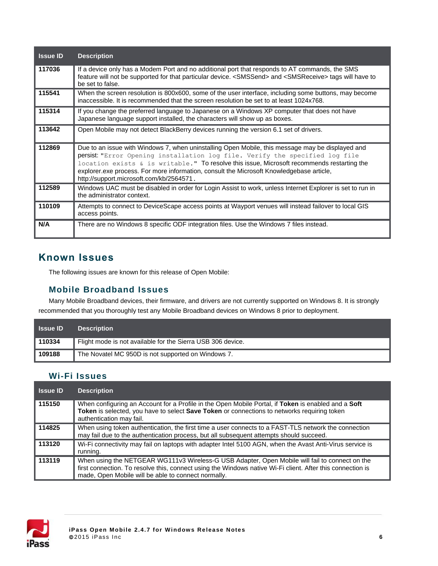| <b>Issue ID</b> | <b>Description</b>                                                                                                                                                                                                                                                                                                                                                                                                     |
|-----------------|------------------------------------------------------------------------------------------------------------------------------------------------------------------------------------------------------------------------------------------------------------------------------------------------------------------------------------------------------------------------------------------------------------------------|
| 117036          | If a device only has a Modem Port and no additional port that responds to AT commands, the SMS<br>feature will not be supported for that particular device. <smssend> and <smsreceive> tags will have to<br/>be set to false.</smsreceive></smssend>                                                                                                                                                                   |
| 115541          | When the screen resolution is 800x600, some of the user interface, including some buttons, may become<br>inaccessible. It is recommended that the screen resolution be set to at least 1024x768.                                                                                                                                                                                                                       |
| 115314          | If you change the preferred language to Japanese on a Windows XP computer that does not have<br>Japanese language support installed, the characters will show up as boxes.                                                                                                                                                                                                                                             |
| 113642          | Open Mobile may not detect BlackBerry devices running the version 6.1 set of drivers.                                                                                                                                                                                                                                                                                                                                  |
| 112869          | Due to an issue with Windows 7, when uninstalling Open Mobile, this message may be displayed and<br>persist: "Error Opening installation log file. Verify the specified log file<br>location exists & is writable." To resolve this issue, Microsoft recommends restarting the<br>explorer.exe process. For more information, consult the Microsoft Knowledgebase article,<br>http://support.microsoft.com/kb/2564571. |
| 112589          | Windows UAC must be disabled in order for Login Assist to work, unless Internet Explorer is set to run in<br>the administrator context.                                                                                                                                                                                                                                                                                |
| 110109          | Attempts to connect to DeviceScape access points at Wayport venues will instead failover to local GIS<br>access points.                                                                                                                                                                                                                                                                                                |
| N/A             | There are no Windows 8 specific ODF integration files. Use the Windows 7 files instead.                                                                                                                                                                                                                                                                                                                                |

# **Known Issues**

The following issues are known for this release of Open Mobile:

#### **Mobile Broadband Issues**

Many Mobile Broadband devices, their firmware, and drivers are not currently supported on Windows 8. It is strongly recommended that you thoroughly test any Mobile Broadband devices on Windows 8 prior to deployment.

| <b>Issue ID</b> | <b>Description</b>                                          |
|-----------------|-------------------------------------------------------------|
| 110334          | Flight mode is not available for the Sierra USB 306 device. |
| 109188          | The Novatel MC 950D is not supported on Windows 7.          |

## **Wi-Fi Issues**

| <b>Issue ID</b> | <b>Description</b>                                                                                                                                                                                                                                                  |
|-----------------|---------------------------------------------------------------------------------------------------------------------------------------------------------------------------------------------------------------------------------------------------------------------|
| 115150          | When configuring an Account for a Profile in the Open Mobile Portal, if Token is enabled and a Soft<br>Token is selected, you have to select Save Token or connections to networks requiring token<br>authentication may fail.                                      |
| 114825          | When using token authentication, the first time a user connects to a FAST-TLS network the connection<br>may fail due to the authentication process, but all subsequent attempts should succeed.                                                                     |
| 113120          | Wi-Fi connectivity may fail on laptops with adapter Intel 5100 AGN, when the Avast Anti-Virus service is<br>running.                                                                                                                                                |
| 113119          | When using the NETGEAR WG111v3 Wireless-G USB Adapter, Open Mobile will fail to connect on the<br>first connection. To resolve this, connect using the Windows native Wi-Fi client. After this connection is<br>made, Open Mobile will be able to connect normally. |

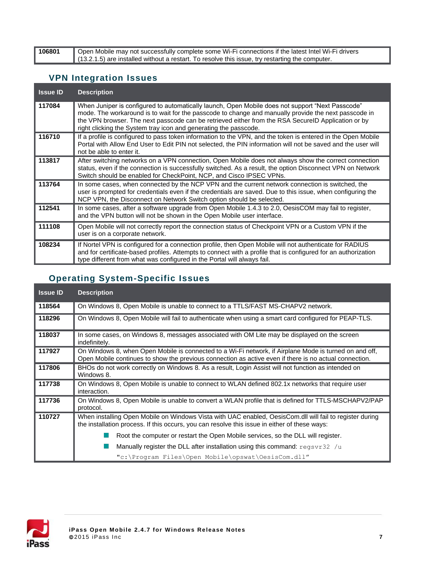**106801** Open Mobile may not successfully complete some Wi-Fi connections if the latest Intel Wi-Fi drivers (13.2.1.5) are installed without a restart. To resolve this issue, try restarting the computer.

#### **VPN Integration Issues**

| <b>Issue ID</b> | <b>Description</b>                                                                                                                                                                                                                                                                                                                                                                 |
|-----------------|------------------------------------------------------------------------------------------------------------------------------------------------------------------------------------------------------------------------------------------------------------------------------------------------------------------------------------------------------------------------------------|
| 117084          | When Juniper is configured to automatically launch, Open Mobile does not support "Next Passcode"<br>mode. The workaround is to wait for the passcode to change and manually provide the next passcode in<br>the VPN browser. The next passcode can be retrieved either from the RSA SecureID Application or by<br>right clicking the System tray icon and generating the passcode. |
| 116710          | If a profile is configured to pass token information to the VPN, and the token is entered in the Open Mobile<br>Portal with Allow End User to Edit PIN not selected, the PIN information will not be saved and the user will<br>not be able to enter it.                                                                                                                           |
| 113817          | After switching networks on a VPN connection, Open Mobile does not always show the correct connection<br>status, even if the connection is successfully switched. As a result, the option Disconnect VPN on Network<br>Switch should be enabled for CheckPoint, NCP, and Cisco IPSEC VPNs.                                                                                         |
| 113764          | In some cases, when connected by the NCP VPN and the current network connection is switched, the<br>user is prompted for credentials even if the credentials are saved. Due to this issue, when configuring the<br>NCP VPN, the Disconnect on Network Switch option should be selected.                                                                                            |
| 112541          | In some cases, after a software upgrade from Open Mobile 1.4.3 to 2.0, OesisCOM may fail to register,<br>and the VPN button will not be shown in the Open Mobile user interface.                                                                                                                                                                                                   |
| 111108          | Open Mobile will not correctly report the connection status of Checkpoint VPN or a Custom VPN if the<br>user is on a corporate network.                                                                                                                                                                                                                                            |
| 108234          | If Nortel VPN is configured for a connection profile, then Open Mobile will not authenticate for RADIUS<br>and for certificate-based profiles. Attempts to connect with a profile that is configured for an authorization<br>type different from what was configured in the Portal will always fail.                                                                               |

# **Operating System-Specific Issues**

| <b>Issue ID</b> | <b>Description</b>                                                                                                                                                                                               |
|-----------------|------------------------------------------------------------------------------------------------------------------------------------------------------------------------------------------------------------------|
| 118564          | On Windows 8, Open Mobile is unable to connect to a TTLS/FAST MS-CHAPV2 network.                                                                                                                                 |
| 118296          | On Windows 8, Open Mobile will fail to authenticate when using a smart card configured for PEAP-TLS.                                                                                                             |
| 118037          | In some cases, on Windows 8, messages associated with OM Lite may be displayed on the screen<br>indefinitely.                                                                                                    |
| 117927          | On Windows 8, when Open Mobile is connected to a Wi-Fi network, if Airplane Mode is turned on and off,<br>Open Mobile continues to show the previous connection as active even if there is no actual connection. |
| 117806          | BHOs do not work correctly on Windows 8. As a result, Login Assist will not function as intended on<br>Windows 8.                                                                                                |
| 117738          | On Windows 8, Open Mobile is unable to connect to WLAN defined 802.1x networks that require user<br>interaction.                                                                                                 |
| 117736          | On Windows 8, Open Mobile is unable to convert a WLAN profile that is defined for TTLS-MSCHAPV2/PAP<br>protocol.                                                                                                 |
| 110727          | When installing Open Mobile on Windows Vista with UAC enabled, OesisCom.dll will fail to register during<br>the installation process. If this occurs, you can resolve this issue in either of these ways:        |
|                 | Root the computer or restart the Open Mobile services, so the DLL will register.                                                                                                                                 |
|                 | Manually register the DLL after installation using this command: $\text{regsvr32}$ /u                                                                                                                            |
|                 | "c:\Program Files\Open Mobile\opswat\OesisCom.dll"                                                                                                                                                               |

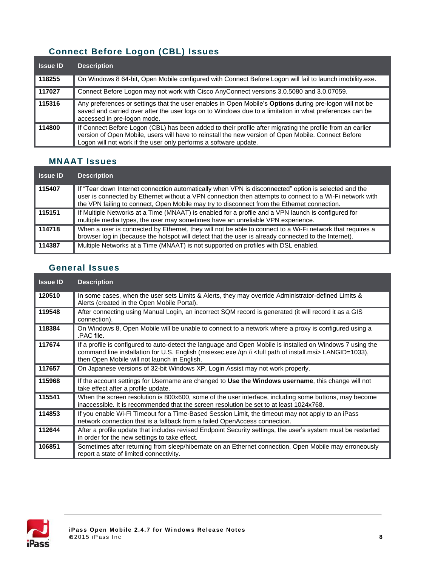# **Connect Before Logon (CBL) Issues**

| <b>Issue ID</b> | <b>Description</b>                                                                                                                                                                                                                                                                   |
|-----------------|--------------------------------------------------------------------------------------------------------------------------------------------------------------------------------------------------------------------------------------------------------------------------------------|
| 118255          | On Windows 8 64-bit, Open Mobile configured with Connect Before Logon will fail to launch imobility.exe.                                                                                                                                                                             |
| 117027          | Connect Before Logon may not work with Cisco AnyConnect versions 3.0.5080 and 3.0.07059.                                                                                                                                                                                             |
| 115316          | Any preferences or settings that the user enables in Open Mobile's Options during pre-logon will not be<br>saved and carried over after the user logs on to Windows due to a limitation in what preferences can be<br>accessed in pre-logon mode.                                    |
| 114800          | If Connect Before Logon (CBL) has been added to their profile after migrating the profile from an earlier<br>version of Open Mobile, users will have to reinstall the new version of Open Mobile. Connect Before<br>Logon will not work if the user only performs a software update. |

# **MNAAT Issues**

| <b>Issue ID</b> | <b>Description</b>                                                                                                                                                                                                                                                                                             |
|-----------------|----------------------------------------------------------------------------------------------------------------------------------------------------------------------------------------------------------------------------------------------------------------------------------------------------------------|
| 115407          | If "Tear down Internet connection automatically when VPN is disconnected" option is selected and the<br>user is connected by Ethernet without a VPN connection then attempts to connect to a Wi-Fi network with<br>the VPN failing to connect, Open Mobile may try to disconnect from the Ethernet connection. |
| 115151          | If Multiple Networks at a Time (MNAAT) is enabled for a profile and a VPN launch is configured for<br>multiple media types, the user may sometimes have an unreliable VPN experience.                                                                                                                          |
| 114718          | When a user is connected by Ethernet, they will not be able to connect to a Wi-Fi network that requires a<br>browser log in (because the hotspot will detect that the user is already connected to the Internet).                                                                                              |
| 114387          | Multiple Networks at a Time (MNAAT) is not supported on profiles with DSL enabled.                                                                                                                                                                                                                             |

### **General Issues**

| <b>Issue ID</b> | <b>Description</b>                                                                                                                                                                                                                                                                     |
|-----------------|----------------------------------------------------------------------------------------------------------------------------------------------------------------------------------------------------------------------------------------------------------------------------------------|
| 120510          | In some cases, when the user sets Limits & Alerts, they may override Administrator-defined Limits &<br>Alerts (created in the Open Mobile Portal).                                                                                                                                     |
| 119548          | After connecting using Manual Login, an incorrect SQM record is generated (it will record it as a GIS<br>connection).                                                                                                                                                                  |
| 118384          | On Windows 8, Open Mobile will be unable to connect to a network where a proxy is configured using a<br>.PAC file.                                                                                                                                                                     |
| 117674          | If a profile is configured to auto-detect the language and Open Mobile is installed on Windows 7 using the<br>command line installation for U.S. English (msiexec.exe /qn /i <full install.msi="" of="" path=""> LANGID=1033),<br/>then Open Mobile will not launch in English.</full> |
| 117657          | On Japanese versions of 32-bit Windows XP, Login Assist may not work properly.                                                                                                                                                                                                         |
| 115968          | If the account settings for Username are changed to Use the Windows username, this change will not<br>take effect after a profile update.                                                                                                                                              |
| 115541          | When the screen resolution is 800x600, some of the user interface, including some buttons, may become<br>inaccessible. It is recommended that the screen resolution be set to at least 1024x768.                                                                                       |
| 114853          | If you enable Wi-Fi Timeout for a Time-Based Session Limit, the timeout may not apply to an iPass<br>network connection that is a fallback from a failed OpenAccess connection.                                                                                                        |
| 112644          | After a profile update that includes revised Endpoint Security settings, the user's system must be restarted<br>in order for the new settings to take effect.                                                                                                                          |
| 106851          | Sometimes after returning from sleep/hibernate on an Ethernet connection, Open Mobile may erroneously<br>report a state of limited connectivity.                                                                                                                                       |